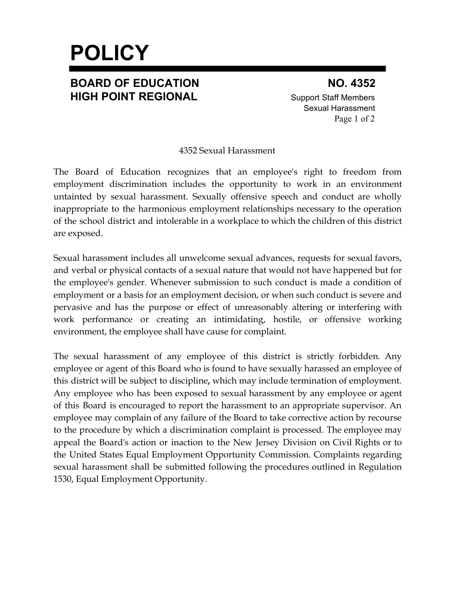# **POLICY**

### **BOARD OF EDUCATION NO. 4352 HIGH POINT REGIONAL** Support Staff Members

Sexual Harassment Page 1 of 2

#### 4352 Sexual Harassment

The Board of Education recognizes that an employee's right to freedom from employment discrimination includes the opportunity to work in an environment untainted by sexual harassment. Sexually offensive speech and conduct are wholly inappropriate to the harmonious employment relationships necessary to the operation of the school district and intolerable in a workplace to which the children of this district are exposed.

Sexual harassment includes all unwelcome sexual advances, requests for sexual favors, and verbal or physical contacts of a sexual nature that would not have happened but for the employee's gender. Whenever submission to such conduct is made a condition of employment or a basis for an employment decision, or when such conduct is severe and pervasive and has the purpose or effect of unreasonably altering or interfering with work performance or creating an intimidating, hostile, or offensive working environment, the employee shall have cause for complaint.

The sexual harassment of any employee of this district is strictly forbidden. Any employee or agent of this Board who is found to have sexually harassed an employee of this district will be subject to discipline**,** which may include termination of employment. Any employee who has been exposed to sexual harassment by any employee or agent of this Board is encouraged to report the harassment to an appropriate supervisor. An employee may complain of any failure of the Board to take corrective action by recourse to the procedure by which a discrimination complaint is processed. The employee may appeal the Board's action or inaction to the New Jersey Division on Civil Rights or to the United States Equal Employment Opportunity Commission. Complaints regarding sexual harassment shall be submitted following the procedures outlined in Regulation 1530, Equal Employment Opportunity.